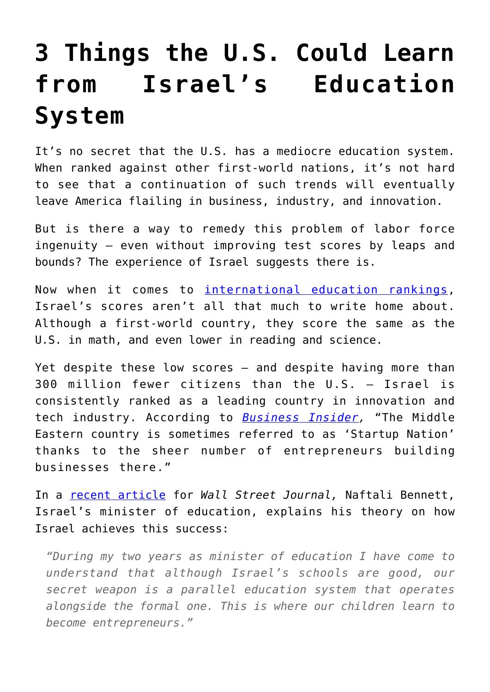# **[3 Things the U.S. Could Learn](https://intellectualtakeout.org/2017/03/3-things-the-u-s-could-learn-from-israels-education-system/) [from Israel's Education](https://intellectualtakeout.org/2017/03/3-things-the-u-s-could-learn-from-israels-education-system/) [System](https://intellectualtakeout.org/2017/03/3-things-the-u-s-could-learn-from-israels-education-system/)**

It's no secret that the U.S. has a mediocre education system. When ranked against other first-world nations, it's not hard to see that a continuation of such trends will eventually leave America flailing in business, industry, and innovation.

But is there a way to remedy this problem of labor force ingenuity – even without improving test scores by leaps and bounds? The experience of Israel suggests there is.

Now when it comes to [international education rankings,](https://www.oecd.org/pisa/pisa-2015-results-in-focus.pdf) Israel's scores aren't all that much to write home about. Although a first-world country, they score the same as the U.S. in math, and even lower in reading and science.

Yet despite these low scores – and despite having more than 300 million fewer citizens than the U.S. – Israel is consistently ranked as a leading country in innovation and tech industry. According to *[Business Insider,](http://www.businessinsider.com/the-coolest-tech-startups-in-israel-2016-11/#21-zebra-1)* "The Middle Eastern country is sometimes referred to as 'Startup Nation' thanks to the sheer number of entrepreneurs building businesses there."

In a [recent article](https://www.wsj.com/articles/good-schools-arent-the-secret-to-israels-high-tech-boom-1490051053) for *Wall Street Journal,* Naftali Bennett, Israel's minister of education, explains his theory on how Israel achieves this success:

*"During my two years as minister of education I have come to understand that although Israel's schools are good, our secret weapon is a parallel education system that operates alongside the formal one. This is where our children learn to become entrepreneurs."*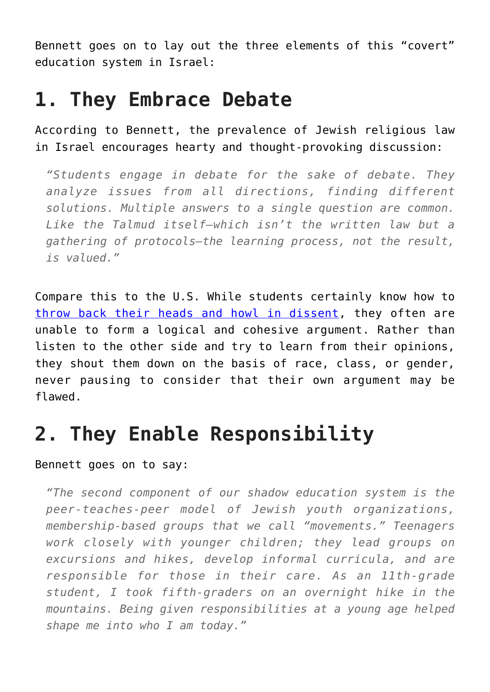Bennett goes on to lay out the three elements of this "covert" education system in Israel:

#### **1. They Embrace Debate**

According to Bennett, the prevalence of Jewish religious law in Israel encourages hearty and thought-provoking discussion:

*"Students engage in debate for the sake of debate. They analyze issues from all directions, finding different solutions. Multiple answers to a single question are common. Like the Talmud itself—which isn't the written law but a gathering of protocols—the learning process, not the result, is valued."*

Compare this to the U.S. While students certainly know how to [throw back their heads and howl in dissent](https://www.intellectualtakeout.org/blog/documentary-yale-reveals-how-scary-us-campuses-have-become), they often are unable to form a logical and cohesive argument. Rather than listen to the other side and try to learn from their opinions, they shout them down on the basis of race, class, or gender, never pausing to consider that their own argument may be flawed.

## **2. They Enable Responsibility**

#### Bennett goes on to say:

*"The second component of our shadow education system is the peer-teaches-peer model of Jewish youth organizations, membership-based groups that we call "movements." Teenagers work closely with younger children; they lead groups on excursions and hikes, develop informal curricula, and are responsible for those in their care. As an 11th-grade student, I took fifth-graders on an overnight hike in the mountains. Being given responsibilities at a young age helped shape me into who I am today."*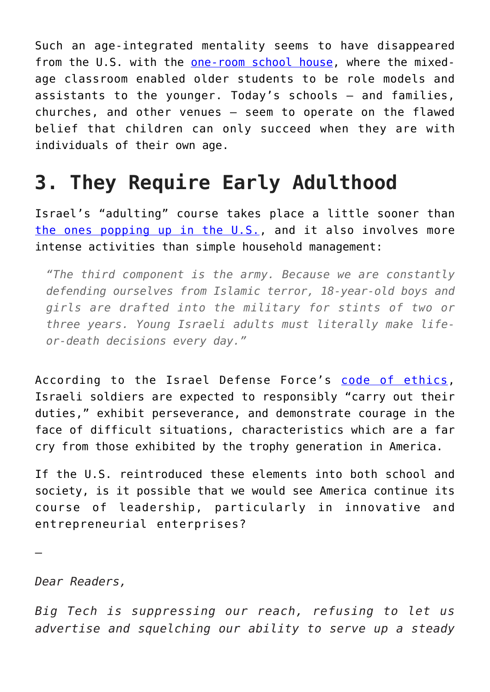Such an age-integrated mentality seems to have disappeared from the U.S. with the [one-room school house,](https://www.intellectualtakeout.org/blog/5-reasons-go-back-one-room-schools) where the mixedage classroom enabled older students to be role models and assistants to the younger. Today's schools – and families, churches, and other venues – seem to operate on the flawed belief that children can only succeed when they are with individuals of their own age.

### **3. They Require Early Adulthood**

Israel's "adulting" course takes place a little sooner than [the ones popping up in the U.S.,](https://www.intellectualtakeout.org/blog/adulting-school-founded-teach-millennials-how-be-adults) and it also involves more intense activities than simple household management:

*"The third component is the army. Because we are constantly defending ourselves from Islamic terror, 18-year-old boys and girls are drafted into the military for stints of two or three years. Young Israeli adults must literally make lifeor-death decisions every day."*

According to the Israel Defense Force's [code of ethics,](https://www.idfblog.com/about-the-idf/idf-code-of-ethics/) Israeli soldiers are expected to responsibly "carry out their duties," exhibit perseverance, and demonstrate courage in the face of difficult situations, characteristics which are a far cry from those exhibited by the trophy generation in America.

If the U.S. reintroduced these elements into both school and society, is it possible that we would see America continue its course of leadership, particularly in innovative and entrepreneurial enterprises?

—

*Dear Readers,*

*Big Tech is suppressing our reach, refusing to let us advertise and squelching our ability to serve up a steady*